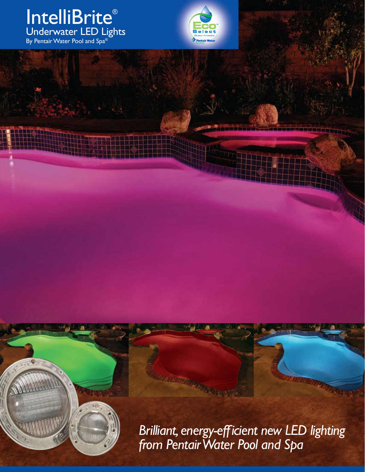#### IntelliBrite® Underwater LED Lights By Pentair Water Pool and Spa $^\circ$



*Brilliant, energy-efficient new LED lighting from Pentair Water Pool and Spa*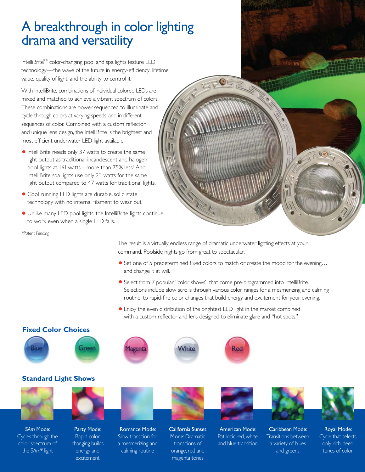# A breakthrough in color lighting drama and versatility

IntelliBrite®\* color-changing pool and spa lights feature LED technology—the wave of the future in energy-efficiency, lifetime value, quality of light, and the ability to control it.

With IntelliBrite, combinations of individual colored LEDs are mixed and matched to achieve a vibrant spectrum of colors. These combinations are power sequenced to illuminate and cycle through colors at varying speeds, and in different sequences of color. Combined with a custom reflector and unique lens design, the IntelliBrite is the brightest and most efficient underwater LED light available.

- **•**IntelliBrite needs only 37 watts to create the same light output as traditional incandescent and halogen pool lights at 161 watts—more than 75% less! And IntelliBrite spa lights use only 23 watts for the same light output compared to 47 watts for traditional lights.
- **•** Cool running LED lights are durable, solid state technology with no internal filament to wear out.
- **•** Unlike many LED pool lights, the IntelliBrite lights continue to work even when a single LED fails.

*\*Patent Pending*

The result is a virtually endless range of dramatic underwater lighting effects at your command. Poolside nights go from great to spectacular.

- **•** Set one of 5 predetermined fixed colors to match or create the mood for the evening... and change it at will.
- **•**Select from 7 popular "color shows" that come pre-programmed into IntelliBrite. Selections include slow scrolls through various color ranges for a mesmerizing and calming routine, to rapid-fire color changes that build energy and excitement for your evening.
- **•**Enjoy the even distribution of the brightest LED light in the market combined with a custom reflector and lens designed to eliminate glare and "hot spots."



**Standard Light Shows**















 $\sqrt{\frac{1}{2}}$ 

S*Am* Mode: Cycles through the color spectrum of the S*Am*® light



Romance Mode: Slow transition for a mesmerizing and calming routine

California Sunset Mode: Dramatic transitions of orange, red and

magenta tones

American Mode: Patriotic red, white and blue transition

Caribbean Mode: Transitions between a variety of blues and greens

Royal Mode: Cycle that selects only rich, deep tones of color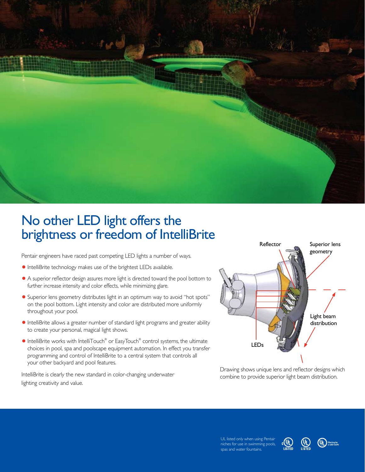

## No other LED light offers the brightness or freedom of IntelliBrite

Pentair engineers have raced past competing LED lights a number of ways.

- **•** IntelliBrite technology makes use of the brightest LEDs available.
- **•** A superior reflector design assures more light is directed toward the pool bottom to further increase intensity and color effects, while minimizing glare.
- **•**Superior lens geometry distributes light in an optimum way to avoid "hot spots" on the pool bottom. Light intensity and color are distributed more uniformly throughout your pool.
- **•**IntelliBrite allows a greater number of standard light programs and greater ability to create your personal, magical light shows.
- **•** IntelliBrite works with IntelliTouch® or EasyTouch® control systems, the ultimate choices in pool, spa and poolscape equipment automation. In effect you transfer programming and control of IntelliBrite to a central system that controls all your other backyard and pool features.

IntelliBrite is clearly the new standard in color-changing underwater lighting creativity and value.



Drawing shows unique lens and reflector designs which combine to provide superior light beam distribution.

UL listed only when using Pentair niches for use in swimming pools, spas and water fountains.